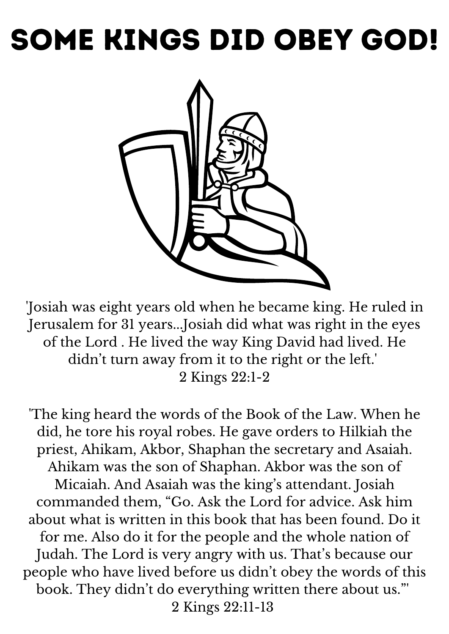## Some kings did obey God!



'Josiah was eight years old when he became king. He ruled in Jerusalem for 31 years...Josiah did what was right in the eyes of the Lord . He lived the way King David had lived. He didn 't turn away from it to the right or the left.' 2 Kings 22:1-2

'The king heard the words of the Book of the Law. When he did, he tore his royal robes. He gave orders to Hilkiah the priest, Ahikam, Akbor, Shaphan the secretary and Asaiah. Ahikam was the son of Shaphan. Akbor was the son of Micaiah. And Asaiah was the king ' s attendant. Josiah commanded them, "Go. Ask the Lord for advice. Ask him about what is written in this book that has been found. Do it for me. Also do it for the people and the whole nation of Judah. The Lord is very angry with us. That' s because our people who have lived before us didn 't obey the words of this book. They didn 't do everything written there about us."' 2 Kings 22:11-13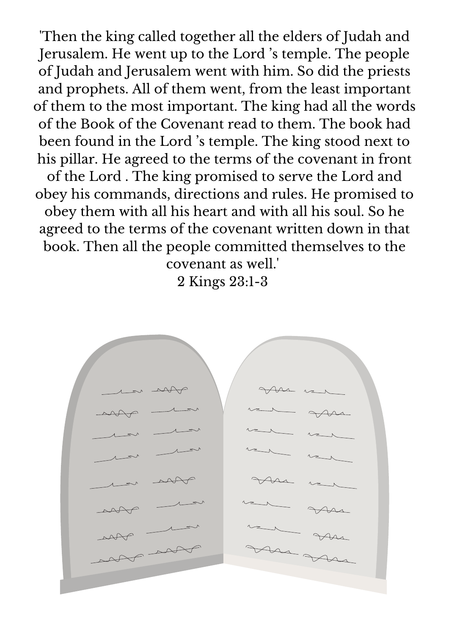'Then the king called together all the elders of Judah and Jerusalem. He went up to the Lord ' s temple. The people of Judah and Jerusalem went with him. So did the priests and prophets. All of them went, from the least important of them to the most important. The king had all the words of the Book of the Covenant read to them. The book had been found in the Lord ' s temple. The king stood next to his pillar. He agreed to the terms of the covenant in front of the Lord . The king promised to serve the Lord and obey his commands, directions and rules. He promised to obey them with all his heart and with all his soul. So he agreed to the terms of the covenant written down in that book. Then all the people committed themselves to the

> covenant as well.' 2 Kings 23:1-3